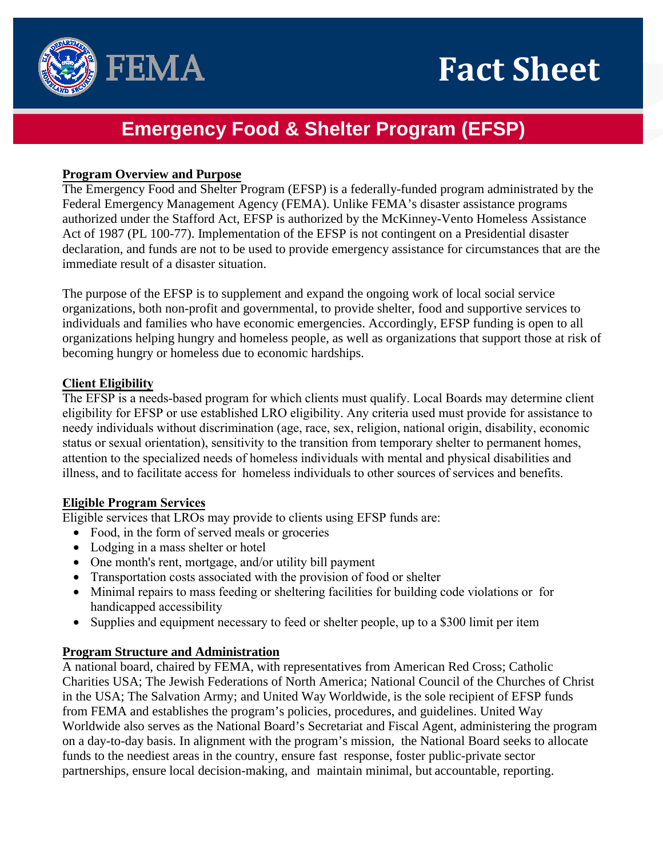

# **Emergency Food & Shelter Program (EFSP)**

## **Program Overview and Purpose**

The Emergency Food and Shelter Program (EFSP) is a federally-funded program administrated by the Federal Emergency Management Agency (FEMA). Unlike FEMA's disaster assistance programs authorized under the Stafford Act, EFSP is authorized by the McKinney-Vento Homeless Assistance Act of 1987 (PL 100-77). Implementation of the EFSP is not contingent on a Presidential disaster declaration, and funds are not to be used to provide emergency assistance for circumstances that are the immediate result of a disaster situation.

The purpose of the EFSP is to supplement and expand the ongoing work of local social service organizations, both non-profit and governmental, to provide shelter, food and supportive services to individuals and families who have economic emergencies. Accordingly, EFSP funding is open to all organizations helping hungry and homeless people, as well as organizations that support those at risk of becoming hungry or homeless due to economic hardships.

### **Client Eligibility**

The EFSP is a needs-based program for which clients must qualify. Local Boards may determine client eligibility for EFSP or use established LRO eligibility. Any criteria used must provide for assistance to needy individuals without discrimination (age, race, sex, religion, national origin, disability, economic status or sexual orientation), sensitivity to the transition from temporary shelter to permanent homes, attention to the specialized needs of homeless individuals with mental and physical disabilities and illness, and to facilitate access for homeless individuals to other sources of services and benefits.

### **Eligible Program Services**

Eligible services that LROs may provide to clients using EFSP funds are:

- Food, in the form of served meals or groceries
- Lodging in a mass shelter or hotel
- One month's rent, mortgage, and/or utility bill payment
- Transportation costs associated with the provision of food or shelter
- Minimal repairs to mass feeding or sheltering facilities for building code violations or for handicapped accessibility
- Supplies and equipment necessary to feed or shelter people, up to a \$300 limit per item

### **Program Structure and Administration**

A national board, chaired by FEMA, with representatives from American Red Cross; Catholic Charities USA; The Jewish Federations of North America; National Council of the Churches of Christ in the USA; The Salvation Army; and United Way Worldwide, is the sole recipient of EFSP funds from FEMA and establishes the program's policies, procedures, and guidelines. United Way Worldwide also serves as the National Board's Secretariat and Fiscal Agent, administering the program on a day-to-day basis. In alignment with the program's mission, the National Board seeks to allocate funds to the neediest areas in the country, ensure fast response, foster public-private sector partnerships, ensure local decision-making, and maintain minimal, but accountable, reporting.